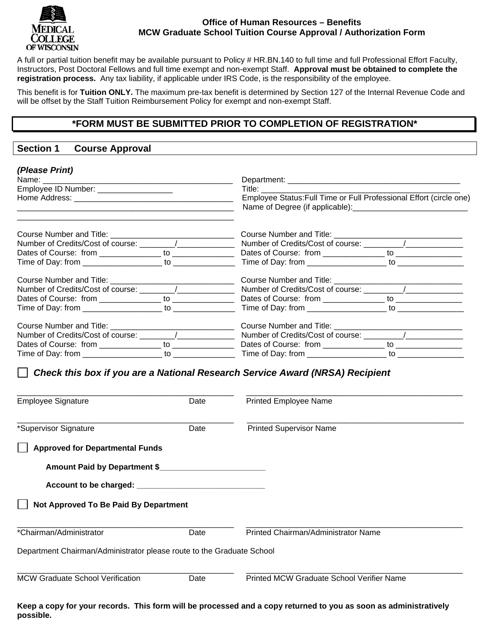

## **Office of Human Resources – Benefits MCW Graduate School Tuition Course Approval / Authorization Form**

A full or partial tuition benefit may be available pursuant to Policy # HR.BN.140 to full time and full Professional Effort Faculty, Instructors, Post Doctoral Fellows and full time exempt and non-exempt Staff. **Approval must be obtained to complete the registration process.** Any tax liability, if applicable under IRS Code, is the responsibility of the employee.

This benefit is for **Tuition ONLY.** The maximum pre-tax benefit is determined by Section 127 of the Internal Revenue Code and will be offset by the Staff Tuition Reimbursement Policy for exempt and non-exempt Staff.

## **\*FORM MUST BE SUBMITTED PRIOR TO COMPLETION OF REGISTRATION\***

## **Section 1 Course Approval**

| (Please Print)                                                                                                                                                 |      |                                                                                                                                                                                                                                                                                                       |  |  |  |  |  |
|----------------------------------------------------------------------------------------------------------------------------------------------------------------|------|-------------------------------------------------------------------------------------------------------------------------------------------------------------------------------------------------------------------------------------------------------------------------------------------------------|--|--|--|--|--|
| Employee ID Number: __________________<br><u> 2000 - Jan James James Barnett, martin de la propincia de la propincia de la propincia de la propincia de la</u> |      | Title: The Contract of the Contract of the Contract of the Contract of the Contract of the Contract of the Contract of the Contract of the Contract of the Contract of the Contract of the Contract of the Contract of the Con<br>Employee Status: Full Time or Full Professional Effort (circle one) |  |  |  |  |  |
|                                                                                                                                                                |      |                                                                                                                                                                                                                                                                                                       |  |  |  |  |  |
|                                                                                                                                                                |      |                                                                                                                                                                                                                                                                                                       |  |  |  |  |  |
|                                                                                                                                                                |      |                                                                                                                                                                                                                                                                                                       |  |  |  |  |  |
|                                                                                                                                                                |      |                                                                                                                                                                                                                                                                                                       |  |  |  |  |  |
|                                                                                                                                                                |      |                                                                                                                                                                                                                                                                                                       |  |  |  |  |  |
|                                                                                                                                                                |      |                                                                                                                                                                                                                                                                                                       |  |  |  |  |  |
| Dates of Course: from ________________ to ________________                                                                                                     |      |                                                                                                                                                                                                                                                                                                       |  |  |  |  |  |
|                                                                                                                                                                |      |                                                                                                                                                                                                                                                                                                       |  |  |  |  |  |
|                                                                                                                                                                |      |                                                                                                                                                                                                                                                                                                       |  |  |  |  |  |
|                                                                                                                                                                |      |                                                                                                                                                                                                                                                                                                       |  |  |  |  |  |
| Dates of Course: from ______________ to ______________                                                                                                         |      | Dates of Course: from ______________ to _______________                                                                                                                                                                                                                                               |  |  |  |  |  |
|                                                                                                                                                                |      |                                                                                                                                                                                                                                                                                                       |  |  |  |  |  |
| <b>Employee Signature</b>                                                                                                                                      | Date | <b>Printed Employee Name</b>                                                                                                                                                                                                                                                                          |  |  |  |  |  |
| *Supervisor Signature                                                                                                                                          | Date | <b>Printed Supervisor Name</b>                                                                                                                                                                                                                                                                        |  |  |  |  |  |
| <b>Approved for Departmental Funds</b>                                                                                                                         |      |                                                                                                                                                                                                                                                                                                       |  |  |  |  |  |
| Amount Paid by Department \$                                                                                                                                   |      |                                                                                                                                                                                                                                                                                                       |  |  |  |  |  |
| Account to be charged: _________________________________                                                                                                       |      |                                                                                                                                                                                                                                                                                                       |  |  |  |  |  |
| Not Approved To Be Paid By Department                                                                                                                          |      |                                                                                                                                                                                                                                                                                                       |  |  |  |  |  |
| *Chairman/Administrator                                                                                                                                        | Date | Printed Chairman/Administrator Name                                                                                                                                                                                                                                                                   |  |  |  |  |  |
| Department Chairman/Administrator please route to the Graduate School                                                                                          |      |                                                                                                                                                                                                                                                                                                       |  |  |  |  |  |
| <b>MCW Graduate School Verification</b>                                                                                                                        | Date | Printed MCW Graduate School Verifier Name                                                                                                                                                                                                                                                             |  |  |  |  |  |

**Keep a copy for your records. This form will be processed and a copy returned to you as soon as administratively possible.**